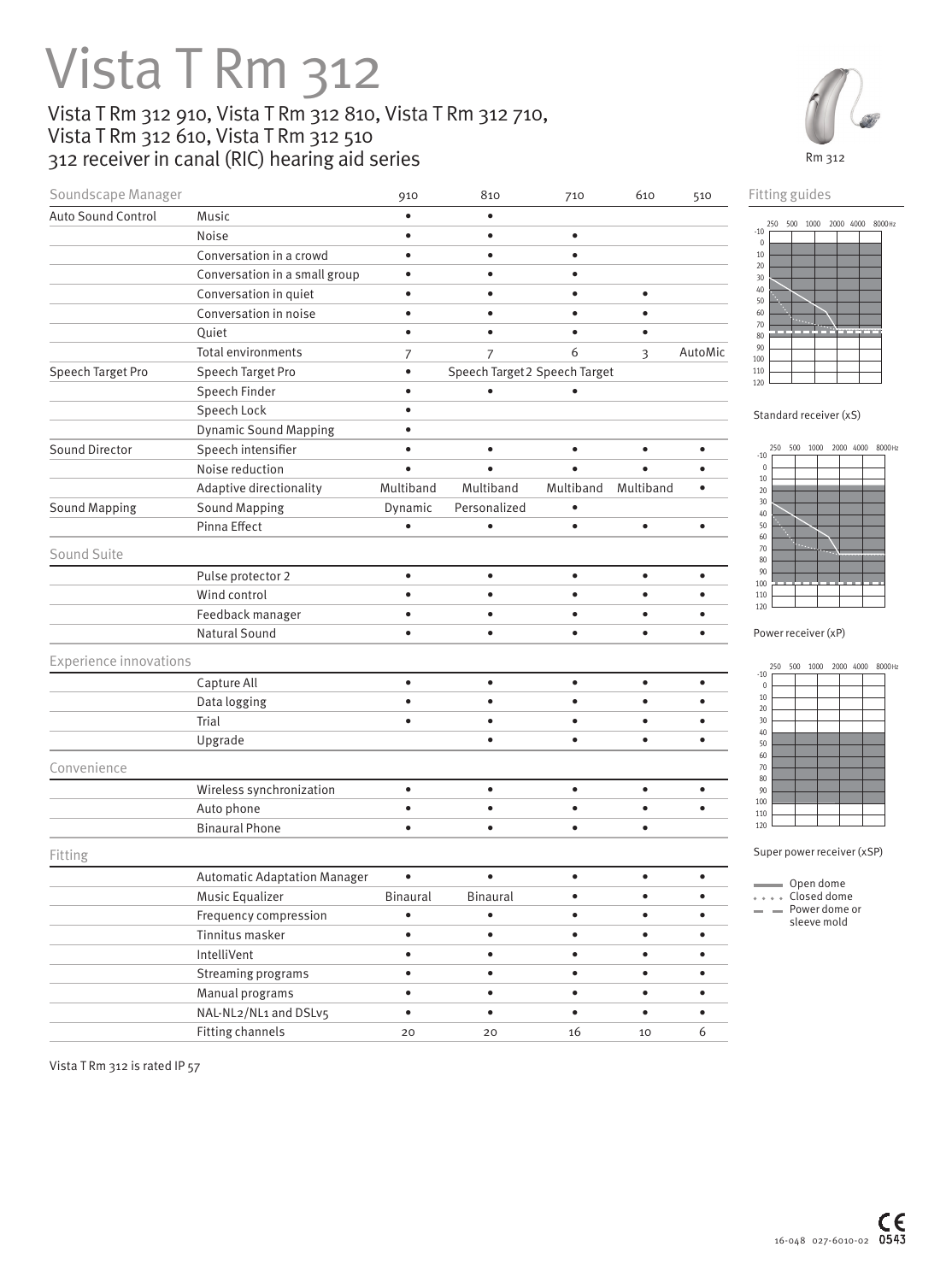## Vista T Rm 312

## Vista T Rm 312 910, Vista T Rm 312 810, Vista T Rm 312 710, Vista T Rm 312 610, Vista T Rm 312 510 312 receiver in canal (RIC) hearing aid series



| Soundscape Manager            |                                     | 910             | 810                           | 710       | 610       | 510       | Fitting guides                                   |
|-------------------------------|-------------------------------------|-----------------|-------------------------------|-----------|-----------|-----------|--------------------------------------------------|
| Auto Sound Control            | Music                               |                 | $\bullet$                     |           |           |           | 250 500 1000 2000 4000 8000Hz                    |
|                               | Noise                               |                 | $\bullet$                     | $\bullet$ |           |           | $-10$<br>$\mathbb O$                             |
|                               | Conversation in a crowd             |                 |                               |           |           |           | $10\,$                                           |
|                               | Conversation in a small group       |                 |                               |           |           |           | $20\,$<br>30                                     |
|                               | Conversation in quiet               |                 |                               |           | $\bullet$ |           | 40<br>50                                         |
|                               | Conversation in noise               |                 |                               |           | ٠         |           | 60                                               |
|                               | Quiet                               |                 |                               |           | $\bullet$ |           | 70<br>80                                         |
|                               | Total environments                  | 7               | $\overline{7}$                | 6         | 3         | AutoMic   | 90<br>100                                        |
| Speech Target Pro             | Speech Target Pro                   |                 | Speech Target 2 Speech Target |           |           |           | 110                                              |
|                               | Speech Finder                       |                 |                               |           |           |           | 120                                              |
|                               | Speech Lock                         |                 |                               |           |           |           | Standard receiver (xS)                           |
|                               | <b>Dynamic Sound Mapping</b>        |                 |                               |           |           |           |                                                  |
| Sound Director                | Speech intensifier                  |                 | $\bullet$                     |           | $\bullet$ | ٠         | 500 1000 2000 4000 8000 Hz<br>250<br>$-10$       |
|                               | Noise reduction                     |                 |                               |           | $\bullet$ |           | $\mathbb O$<br>$10\,$                            |
|                               | Adaptive directionality             | Multiband       | Multiband                     | Multiband | Multiband | $\bullet$ | $20\,$                                           |
| <b>Sound Mapping</b>          | <b>Sound Mapping</b>                | Dynamic         | Personalized                  | $\bullet$ |           |           | 30<br>40                                         |
|                               | Pinna Effect                        |                 | $\bullet$                     | $\bullet$ | $\bullet$ | $\bullet$ | 50<br>60                                         |
| Sound Suite                   |                                     |                 |                               |           |           |           | 70                                               |
|                               | Pulse protector 2                   | $\bullet$       | $\bullet$                     | $\bullet$ | $\bullet$ | $\bullet$ | 80<br>90                                         |
|                               | Wind control                        |                 |                               |           | $\bullet$ | $\bullet$ | 100<br>110                                       |
|                               | Feedback manager                    |                 | $\bullet$                     |           | $\bullet$ | ٠         | 120                                              |
|                               | Natural Sound                       |                 | $\bullet$                     | ٠         | $\bullet$ | $\bullet$ | Power receiver (xP)                              |
|                               |                                     |                 |                               |           |           |           |                                                  |
| <b>Experience innovations</b> |                                     |                 |                               |           |           |           | 2000 4000 8000 Hz<br>500<br>1000<br>250<br>$-10$ |
|                               | Capture All                         | $\bullet$       | $\bullet$                     | $\bullet$ | $\bullet$ | $\bullet$ | $\mathbb O$                                      |
|                               | Data logging                        |                 | $\bullet$                     |           | $\bullet$ | ٠         | $10\,$<br>$20\,$                                 |
|                               | Trial                               |                 | $\bullet$                     |           | $\bullet$ | ٠         | 30<br>40                                         |
|                               | Upgrade                             |                 | $\bullet$                     | $\bullet$ | $\bullet$ | $\bullet$ | 50                                               |
| Convenience                   |                                     |                 |                               |           |           |           | 60<br>70                                         |
|                               | Wireless synchronization            | $\bullet$       | $\bullet$                     | $\bullet$ | $\bullet$ | $\bullet$ | 80<br>90                                         |
|                               | Auto phone                          |                 | $\bullet$                     | ٠         | $\bullet$ | $\bullet$ | 100                                              |
|                               | <b>Binaural Phone</b>               |                 | $\bullet$                     | $\bullet$ | $\bullet$ |           | 110<br>120                                       |
| Fitting                       |                                     |                 |                               |           |           |           | Super power receiver (xSP)                       |
|                               | <b>Automatic Adaptation Manager</b> |                 | $\bullet$                     | $\bullet$ | $\bullet$ | $\bullet$ |                                                  |
|                               | Music Equalizer                     | <b>Binaural</b> | <b>Binaural</b>               | $\bullet$ | $\bullet$ | ٠         | Open dome<br>Closed dome                         |
|                               | Frequency compression               |                 | $\bullet$                     | ٠         | $\bullet$ | $\bullet$ | Power dome or                                    |
|                               | Tinnitus masker                     |                 | $\bullet$                     | $\bullet$ | $\bullet$ | $\bullet$ | sleeve mold                                      |
|                               | IntelliVent                         | $\bullet$       | $\bullet$                     | $\bullet$ | $\bullet$ | $\bullet$ |                                                  |
|                               | Streaming programs                  | $\bullet$       | $\bullet$                     | $\bullet$ | $\bullet$ | $\bullet$ |                                                  |
|                               | Manual programs                     | $\bullet$       | $\bullet$                     | $\bullet$ | $\bullet$ | $\bullet$ |                                                  |
|                               | NAL-NL2/NL1 and DSLv5               | $\bullet$       | $\bullet$                     | $\bullet$ | $\bullet$ | $\bullet$ |                                                  |
|                               | <b>Fitting channels</b>             | 20              | 20                            | 16        | 10        | 6         |                                                  |
|                               |                                     |                 |                               |           |           |           |                                                  |

Vista T Rm 312 is rated IP 57